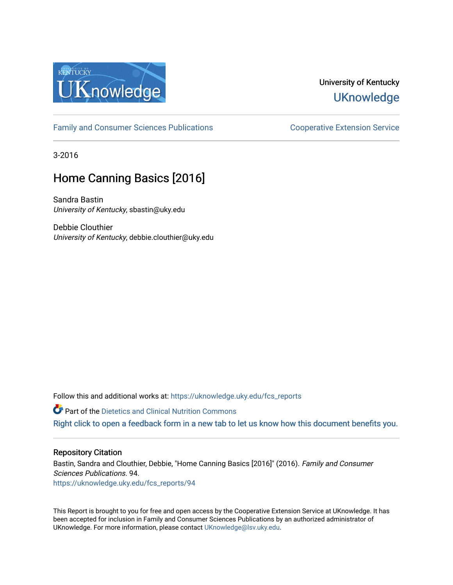

#### University of Kentucky **UKnowledge**

[Family and Consumer Sciences Publications](https://uknowledge.uky.edu/fcs_reports) **Consumer Science Extension Service** Cooperative Extension Service

3-2016

# Home Canning Basics [2016]

Sandra Bastin University of Kentucky, sbastin@uky.edu

Debbie Clouthier University of Kentucky, debbie.clouthier@uky.edu

Follow this and additional works at: https://uknowledge.uky.edu/fcs\_reports

**Part of the Dietetics and Clinical Nutrition Commons** 

[Right click to open a feedback form in a new tab to let us know how this document benefits you.](https://uky.az1.qualtrics.com/jfe/form/SV_9mq8fx2GnONRfz7)

#### Repository Citation

Bastin, Sandra and Clouthier, Debbie, "Home Canning Basics [2016]" (2016). Family and Consumer Sciences Publications. 94. [https://uknowledge.uky.edu/fcs\\_reports/94](https://uknowledge.uky.edu/fcs_reports/94?utm_source=uknowledge.uky.edu%2Ffcs_reports%2F94&utm_medium=PDF&utm_campaign=PDFCoverPages)

This Report is brought to you for free and open access by the Cooperative Extension Service at UKnowledge. It has been accepted for inclusion in Family and Consumer Sciences Publications by an authorized administrator of UKnowledge. For more information, please contact [UKnowledge@lsv.uky.edu](mailto:UKnowledge@lsv.uky.edu).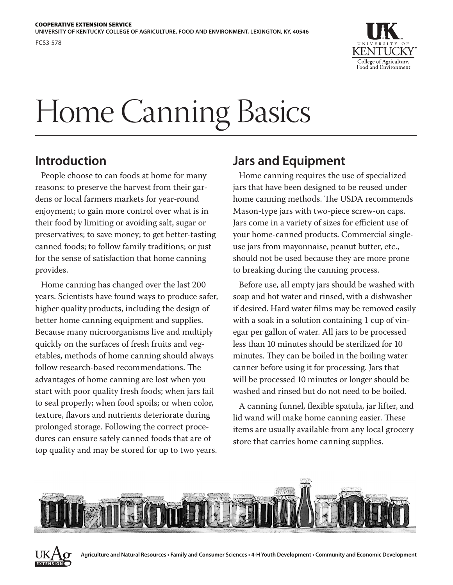FCS3-578



# Home Canning Basics

### **Introduction**

People choose to can foods at home for many reasons: to preserve the harvest from their gardens or local farmers markets for year-round enjoyment; to gain more control over what is in their food by limiting or avoiding salt, sugar or preservatives; to save money; to get better-tasting canned foods; to follow family traditions; or just for the sense of satisfaction that home canning provides.

Home canning has changed over the last 200 years. Scientists have found ways to produce safer, higher quality products, including the design of better home canning equipment and supplies. Because many microorganisms live and multiply quickly on the surfaces of fresh fruits and vegetables, methods of home canning should always follow research-based recommendations. The advantages of home canning are lost when you start with poor quality fresh foods; when jars fail to seal properly; when food spoils; or when color, texture, flavors and nutrients deteriorate during prolonged storage. Following the correct procedures can ensure safely canned foods that are of top quality and may be stored for up to two years.

# **Jars and Equipment**

Home canning requires the use of specialized jars that have been designed to be reused under home canning methods. The USDA recommends Mason-type jars with two-piece screw-on caps. Jars come in a variety of sizes for efficient use of your home-canned products. Commercial singleuse jars from mayonnaise, peanut butter, etc., should not be used because they are more prone to breaking during the canning process.

Before use, all empty jars should be washed with soap and hot water and rinsed, with a dishwasher if desired. Hard water films may be removed easily with a soak in a solution containing 1 cup of vinegar per gallon of water. All jars to be processed less than 10 minutes should be sterilized for 10 minutes. They can be boiled in the boiling water canner before using it for processing. Jars that will be processed 10 minutes or longer should be washed and rinsed but do not need to be boiled.

A canning funnel, flexible spatula, jar lifter, and lid wand will make home canning easier. These items are usually available from any local grocery store that carries home canning supplies.



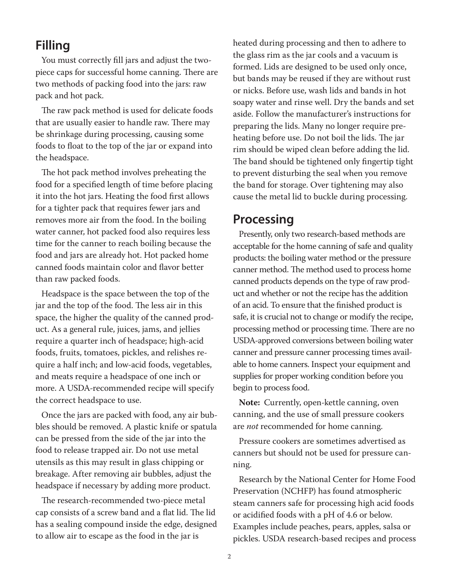#### **Filling**

You must correctly fill jars and adjust the twopiece caps for successful home canning. There are two methods of packing food into the jars: raw pack and hot pack.

The raw pack method is used for delicate foods that are usually easier to handle raw. There may be shrinkage during processing, causing some foods to float to the top of the jar or expand into the headspace.

The hot pack method involves preheating the food for a specified length of time before placing it into the hot jars. Heating the food first allows for a tighter pack that requires fewer jars and removes more air from the food. In the boiling water canner, hot packed food also requires less time for the canner to reach boiling because the food and jars are already hot. Hot packed home canned foods maintain color and flavor better than raw packed foods.

Headspace is the space between the top of the jar and the top of the food. The less air in this space, the higher the quality of the canned product. As a general rule, juices, jams, and jellies require a quarter inch of headspace; high-acid foods, fruits, tomatoes, pickles, and relishes require a half inch; and low-acid foods, vegetables, and meats require a headspace of one inch or more. A USDA-recommended recipe will specify the correct headspace to use.

Once the jars are packed with food, any air bubbles should be removed. A plastic knife or spatula can be pressed from the side of the jar into the food to release trapped air. Do not use metal utensils as this may result in glass chipping or breakage. After removing air bubbles, adjust the headspace if necessary by adding more product.

The research-recommended two-piece metal cap consists of a screw band and a flat lid. The lid has a sealing compound inside the edge, designed to allow air to escape as the food in the jar is

heated during processing and then to adhere to the glass rim as the jar cools and a vacuum is formed. Lids are designed to be used only once, but bands may be reused if they are without rust or nicks. Before use, wash lids and bands in hot soapy water and rinse well. Dry the bands and set aside. Follow the manufacturer's instructions for preparing the lids. Many no longer require preheating before use. Do not boil the lids. The jar rim should be wiped clean before adding the lid. The band should be tightened only fingertip tight to prevent disturbing the seal when you remove the band for storage. Over tightening may also cause the metal lid to buckle during processing.

#### **Processing**

Presently, only two research-based methods are acceptable for the home canning of safe and quality products: the boiling water method or the pressure canner method. The method used to process home canned products depends on the type of raw product and whether or not the recipe has the addition of an acid. To ensure that the finished product is safe, it is crucial not to change or modify the recipe, processing method or processing time. There are no USDA-approved conversions between boiling water canner and pressure canner processing times available to home canners. Inspect your equipment and supplies for proper working condition before you begin to process food.

**Note:** Currently, open-kettle canning, oven canning, and the use of small pressure cookers are *not* recommended for home canning.

Pressure cookers are sometimes advertised as canners but should not be used for pressure canning.

Research by the National Center for Home Food Preservation (NCHFP) has found atmospheric steam canners safe for processing high acid foods or acidified foods with a pH of 4.6 or below. Examples include peaches, pears, apples, salsa or pickles. USDA research-based recipes and process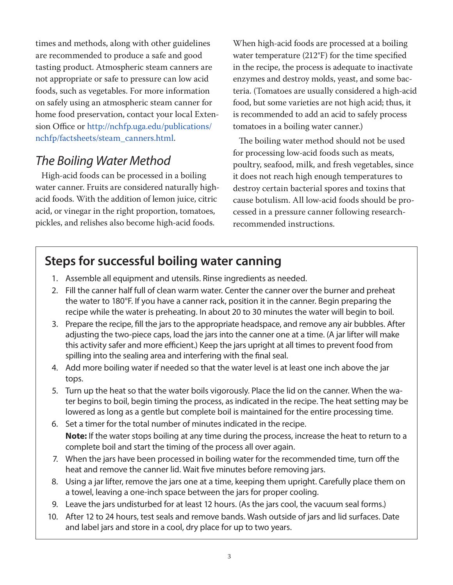times and methods, along with other guidelines are recommended to produce a safe and good tasting product. Atmospheric steam canners are not appropriate or safe to pressure can low acid foods, such as vegetables. For more information on safely using an atmospheric steam canner for home food preservation, contact your local Extension Office or http://nchfp.uga.edu/publications/ nchfp/factsheets/steam\_canners.html.

# *The Boiling Water Method*

High-acid foods can be processed in a boiling water canner. Fruits are considered naturally highacid foods. With the addition of lemon juice, citric acid, or vinegar in the right proportion, tomatoes, pickles, and relishes also become high-acid foods.

When high-acid foods are processed at a boiling water temperature (212°F) for the time specified in the recipe, the process is adequate to inactivate enzymes and destroy molds, yeast, and some bacteria. (Tomatoes are usually considered a high-acid food, but some varieties are not high acid; thus, it is recommended to add an acid to safely process tomatoes in a boiling water canner.)

The boiling water method should not be used for processing low-acid foods such as meats, poultry, seafood, milk, and fresh vegetables, since it does not reach high enough temperatures to destroy certain bacterial spores and toxins that cause botulism. All low-acid foods should be processed in a pressure canner following researchrecommended instructions.

# **Steps for successful boiling water canning**

- 1. Assemble all equipment and utensils. Rinse ingredients as needed.
- 2. Fill the canner half full of clean warm water. Center the canner over the burner and preheat the water to 180°F. If you have a canner rack, position it in the canner. Begin preparing the recipe while the water is preheating. In about 20 to 30 minutes the water will begin to boil.
- 3. Prepare the recipe, fill the jars to the appropriate headspace, and remove any air bubbles. After adjusting the two-piece caps, load the jars into the canner one at a time. (A jar lifter will make this activity safer and more efficient.) Keep the jars upright at all times to prevent food from spilling into the sealing area and interfering with the final seal.
- 4. Add more boiling water if needed so that the water level is at least one inch above the jar tops.
- 5. Turn up the heat so that the water boils vigorously. Place the lid on the canner. When the water begins to boil, begin timing the process, as indicated in the recipe. The heat setting may be lowered as long as a gentle but complete boil is maintained for the entire processing time.
- 6. Set a timer for the total number of minutes indicated in the recipe. **Note:** If the water stops boiling at any time during the process, increase the heat to return to a complete boil and start the timing of the process all over again.
- 7. When the jars have been processed in boiling water for the recommended time, turn off the heat and remove the canner lid. Wait five minutes before removing jars.
- 8. Using a jar lifter, remove the jars one at a time, keeping them upright. Carefully place them on a towel, leaving a one-inch space between the jars for proper cooling.
- 9. Leave the jars undisturbed for at least 12 hours. (As the jars cool, the vacuum seal forms.)
- 10. After 12 to 24 hours, test seals and remove bands. Wash outside of jars and lid surfaces. Date and label jars and store in a cool, dry place for up to two years.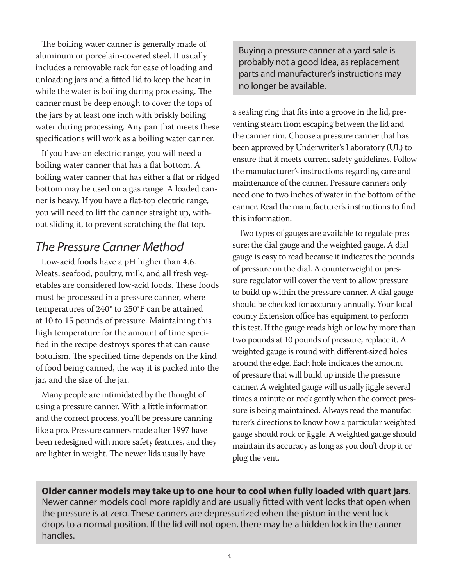The boiling water canner is generally made of aluminum or porcelain-covered steel. It usually includes a removable rack for ease of loading and unloading jars and a fitted lid to keep the heat in while the water is boiling during processing. The canner must be deep enough to cover the tops of the jars by at least one inch with briskly boiling water during processing. Any pan that meets these specifications will work as a boiling water canner.

If you have an electric range, you will need a boiling water canner that has a flat bottom. A boiling water canner that has either a flat or ridged bottom may be used on a gas range. A loaded canner is heavy. If you have a flat-top electric range, you will need to lift the canner straight up, without sliding it, to prevent scratching the flat top.

# *The Pressure Canner Method*

Low-acid foods have a pH higher than 4.6. Meats, seafood, poultry, milk, and all fresh vegetables are considered low-acid foods. These foods must be processed in a pressure canner, where temperatures of 240° to 250°F can be attained at 10 to 15 pounds of pressure. Maintaining this high temperature for the amount of time specified in the recipe destroys spores that can cause botulism. The specified time depends on the kind of food being canned, the way it is packed into the jar, and the size of the jar.

Many people are intimidated by the thought of using a pressure canner. With a little information and the correct process, you'll be pressure canning like a pro. Pressure canners made after 1997 have been redesigned with more safety features, and they are lighter in weight. The newer lids usually have

Buying a pressure canner at a yard sale is probably not a good idea, as replacement parts and manufacturer's instructions may no longer be available.

a sealing ring that fits into a groove in the lid, preventing steam from escaping between the lid and the canner rim. Choose a pressure canner that has been approved by Underwriter's Laboratory (UL) to ensure that it meets current safety guidelines. Follow the manufacturer's instructions regarding care and maintenance of the canner. Pressure canners only need one to two inches of water in the bottom of the canner. Read the manufacturer's instructions to find this information.

Two types of gauges are available to regulate pressure: the dial gauge and the weighted gauge. A dial gauge is easy to read because it indicates the pounds of pressure on the dial. A counterweight or pressure regulator will cover the vent to allow pressure to build up within the pressure canner. A dial gauge should be checked for accuracy annually. Your local county Extension office has equipment to perform this test. If the gauge reads high or low by more than two pounds at 10 pounds of pressure, replace it. A weighted gauge is round with different-sized holes around the edge. Each hole indicates the amount of pressure that will build up inside the pressure canner. A weighted gauge will usually jiggle several times a minute or rock gently when the correct pressure is being maintained. Always read the manufacturer's directions to know how a particular weighted gauge should rock or jiggle. A weighted gauge should maintain its accuracy as long as you don't drop it or plug the vent.

**Older canner models may take up to one hour to cool when fully loaded with quart jars**. Newer canner models cool more rapidly and are usually fitted with vent locks that open when the pressure is at zero. These canners are depressurized when the piston in the vent lock drops to a normal position. If the lid will not open, there may be a hidden lock in the canner handles.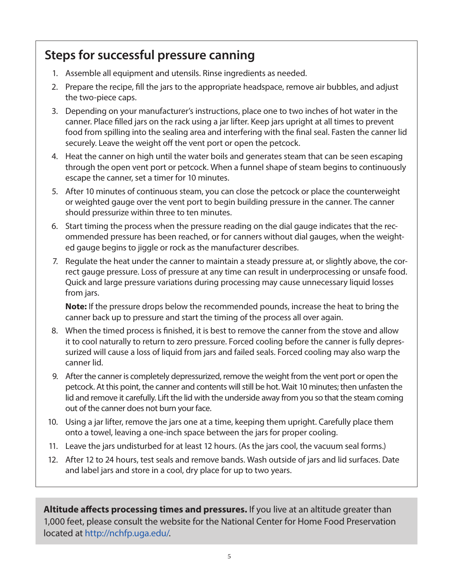# **Steps for successful pressure canning**

- 1. Assemble all equipment and utensils. Rinse ingredients as needed.
- 2. Prepare the recipe, fill the jars to the appropriate headspace, remove air bubbles, and adjust the two-piece caps.
- 3. Depending on your manufacturer's instructions, place one to two inches of hot water in the canner. Place filled jars on the rack using a jar lifter. Keep jars upright at all times to prevent food from spilling into the sealing area and interfering with the final seal. Fasten the canner lid securely. Leave the weight off the vent port or open the petcock.
- 4. Heat the canner on high until the water boils and generates steam that can be seen escaping through the open vent port or petcock. When a funnel shape of steam begins to continuously escape the canner, set a timer for 10 minutes.
- 5. After 10 minutes of continuous steam, you can close the petcock or place the counterweight or weighted gauge over the vent port to begin building pressure in the canner. The canner should pressurize within three to ten minutes.
- 6. Start timing the process when the pressure reading on the dial gauge indicates that the recommended pressure has been reached, or for canners without dial gauges, when the weighted gauge begins to jiggle or rock as the manufacturer describes.
- 7. Regulate the heat under the canner to maintain a steady pressure at, or slightly above, the correct gauge pressure. Loss of pressure at any time can result in underprocessing or unsafe food. Quick and large pressure variations during processing may cause unnecessary liquid losses from jars.

**Note:** If the pressure drops below the recommended pounds, increase the heat to bring the canner back up to pressure and start the timing of the process all over again.

- 8. When the timed process is finished, it is best to remove the canner from the stove and allow it to cool naturally to return to zero pressure. Forced cooling before the canner is fully depressurized will cause a loss of liquid from jars and failed seals. Forced cooling may also warp the canner lid.
- 9. After the canner is completely depressurized, remove the weight from the vent port or open the petcock. At this point, the canner and contents will still be hot. Wait 10 minutes; then unfasten the lid and remove it carefully. Lift the lid with the underside away from you so that the steam coming out of the canner does not burn your face.
- 10. Using a jar lifter, remove the jars one at a time, keeping them upright. Carefully place them onto a towel, leaving a one-inch space between the jars for proper cooling.
- 11. Leave the jars undisturbed for at least 12 hours. (As the jars cool, the vacuum seal forms.)
- 12. After 12 to 24 hours, test seals and remove bands. Wash outside of jars and lid surfaces. Date and label jars and store in a cool, dry place for up to two years.

**Altitude affects processing times and pressures.** If you live at an altitude greater than 1,000 feet, please consult the website for the National Center for Home Food Preservation located at http://nchfp.uga.edu/.